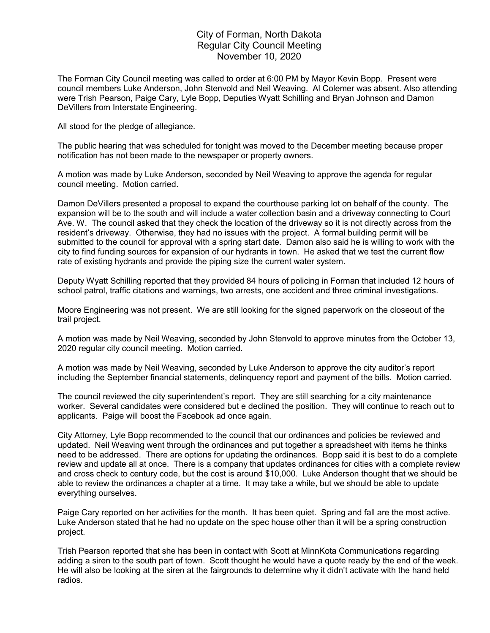## City of Forman, North Dakota Regular City Council Meeting November 10, 2020

The Forman City Council meeting was called to order at 6:00 PM by Mayor Kevin Bopp. Present were council members Luke Anderson, John Stenvold and Neil Weaving. Al Colemer was absent. Also attending were Trish Pearson, Paige Cary, Lyle Bopp, Deputies Wyatt Schilling and Bryan Johnson and Damon DeVillers from Interstate Engineering.

All stood for the pledge of allegiance.

The public hearing that was scheduled for tonight was moved to the December meeting because proper notification has not been made to the newspaper or property owners.

A motion was made by Luke Anderson, seconded by Neil Weaving to approve the agenda for regular council meeting. Motion carried.

Damon DeVillers presented a proposal to expand the courthouse parking lot on behalf of the county. The expansion will be to the south and will include a water collection basin and a driveway connecting to Court Ave. W. The council asked that they check the location of the driveway so it is not directly across from the resident's driveway. Otherwise, they had no issues with the project. A formal building permit will be submitted to the council for approval with a spring start date. Damon also said he is willing to work with the city to find funding sources for expansion of our hydrants in town. He asked that we test the current flow rate of existing hydrants and provide the piping size the current water system.

Deputy Wyatt Schilling reported that they provided 84 hours of policing in Forman that included 12 hours of school patrol, traffic citations and warnings, two arrests, one accident and three criminal investigations.

Moore Engineering was not present. We are still looking for the signed paperwork on the closeout of the trail project.

A motion was made by Neil Weaving, seconded by John Stenvold to approve minutes from the October 13, 2020 regular city council meeting. Motion carried.

A motion was made by Neil Weaving, seconded by Luke Anderson to approve the city auditor's report including the September financial statements, delinquency report and payment of the bills. Motion carried.

The council reviewed the city superintendent's report. They are still searching for a city maintenance worker. Several candidates were considered but e declined the position. They will continue to reach out to applicants. Paige will boost the Facebook ad once again.

City Attorney, Lyle Bopp recommended to the council that our ordinances and policies be reviewed and updated. Neil Weaving went through the ordinances and put together a spreadsheet with items he thinks need to be addressed. There are options for updating the ordinances. Bopp said it is best to do a complete review and update all at once. There is a company that updates ordinances for cities with a complete review and cross check to century code, but the cost is around \$10,000. Luke Anderson thought that we should be able to review the ordinances a chapter at a time. It may take a while, but we should be able to update everything ourselves.

Paige Cary reported on her activities for the month. It has been quiet. Spring and fall are the most active. Luke Anderson stated that he had no update on the spec house other than it will be a spring construction project.

Trish Pearson reported that she has been in contact with Scott at MinnKota Communications regarding adding a siren to the south part of town. Scott thought he would have a quote ready by the end of the week. He will also be looking at the siren at the fairgrounds to determine why it didn't activate with the hand held radios.